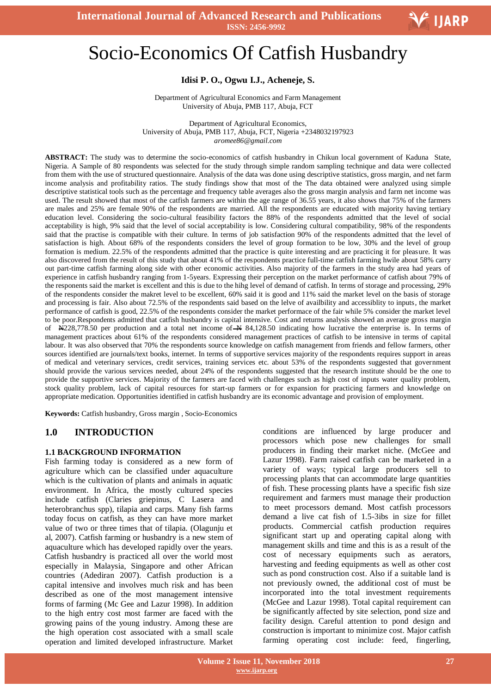

# Socio-Economics Of Catfish Husbandry

## **Idisi P. O., Ogwu I.J., Acheneje, S.**

Department of Agricultural Economics and Farm Management University of Abuja, PMB 117, Abuja, FCT

Department of Agricultural Economics, University of Abuja, PMB 117, Abuja, FCT, Nigeria +2348032197923 *aromee86@gmail.com*

**ABSTRACT:** The study was to determine the socio-economics of catfish husbandry in Chikun local government of Kaduna State, Nigeria. A Sample of 80 respondents was selected for the study through simple random sampling technique and data were collected from them with the use of structured questionnaire. Analysis of the data was done using descriptive statistics, gross margin, and net farm income analysis and profitability ratios. The study findings show that most of the The data obtained were analyzed using simple descriptive statistical tools such as the percentage and frequency table averages also the gross margin analysis and farm net income was used. The result showed that most of the catfish farmers are within the age range of 36.55 years, it also shows that 75% of the farmers are males and 25% are female 90% of the respondents are married. All the respondents are educated with majority having tertiary education level. Considering the socio-cultural feasibility factors the 88% of the respondents admitted that the level of social acceptability is high, 9% said that the level of social acceptability is low. Considering cultural compatibility, 98% of the respondents said that the practise is compatible with their culture. In terms of job satisfaction 90% of the respondents admitted that the level of satisfaction is high. About 68% of the respondents considers the level of group formation to be low, 30% and the level of group formation is medium. 22.5% of the respondents admitted that the practice is quite interesting and are practicing it for pleasure. It was also discovered from the result of this study that about 41% of the respondents practice full-time catfish farming hwile about 58% carry out part-time catfish farming along side with other economic activities. Also majority of the farmers in the study area had years of experience in catfish husbandry ranging from 1-5years. Expressing their perception on the market performance of catfish about 79% of the responents said the market is excellent and this is due to the hihg level of demand of catfish. In terms of storage and processing, 29% of the respondents consider the makret level to be excellent, 60% said it is good and 11% said the market level on the basis of storage and processing is fair. Also about 72.5% of the respondents said based on the lelve of availbility and accessiblity to inputs, the market performance of catfish is good, 22.5% of the respondents consider the market performace of the fair while 5% consider the market level to be poor.Respondents admitted that catfish husbandry is capital intensive. Cost and returns analysis showed an average gross margin of  $N228,778.50$  per production and a total net income of  $N$  84,128.50 indicating how lucrative the enterprise is. In terms of management practices about 61% of the respondents considered management practices of catfish to be intensive in terms of capital labour. It was also observed that 70% the respondents source knowledge on catfish management from friends and fellow farmers, other sources identified are journals/text books, internet. In terms of supportive services majority of the respondents requires support in areas of medical and veterinary services, credit services, training services etc. about 53% of the respondents suggested that government should provide the various services needed, about 24% of the respondents suggested that the research institute should be the one to provide the supportive services. Majority of the farmers are faced with challenges such as high cost of inputs water quality problem, stock quality problem, lack of capital resources for start-up farmers or for expansion for practicing farmers and knowledge on appropriate medication. Opportunities identified in catfish husbandry are its economic advantage and provision of employment.

**Keywords:** Catfish husbandry, Gross margin , Socio-Economics

## **1.0 INTRODUCTION**

#### **1.1 BACKGROUND INFORMATION**

Fish farming today is considered as a new form of agriculture which can be classified under aquaculture which is the cultivation of plants and animals in aquatic environment. In Africa, the mostly cultured species include catfish (Claries griepinus, C Lasera and heterobranchus spp), tilapia and carps. Many fish farms today focus on catfish, as they can have more market value of two or three times that of tilapia. (Olagunju et al, 2007). Catfish farming or husbandry is a new stem of aquaculture which has developed rapidly over the years. Catfish husbandry is practiced all over the world most especially in Malaysia, Singapore and other African countries (Adediran 2007). Catfish production is a capital intensive and involves much risk and has been described as one of the most management intensive forms of farming (Mc Gee and Lazur 1998). In addition to the high entry cost most farmer are faced with the growing pains of the young industry. Among these are the high operation cost associated with a small scale operation and limited developed infrastructure. Market

conditions are influenced by large producer and processors which pose new challenges for small producers in finding their market niche. (McGee and Lazur 1998). Farm raised catfish can be marketed in a variety of ways; typical large producers sell to processing plants that can accommodate large quantities of fish. These processing plants have a specific fish size requirement and farmers must manage their production to meet processors demand. Most catfish processors demand a live cat fish of 1.5-3ibs in size for fillet products. Commercial catfish production requires significant start up and operating capital along with management skills and time and this is as a result of the cost of necessary equipments such as aerators, harvesting and feeding equipments as well as other cost such as pond construction cost. Also if a suitable land is not previously owned, the additional cost of must be incorporated into the total investment requirements (McGee and Lazur 1998). Total capital requirement can be significantly affected by site selection, pond size and facility design. Careful attention to pond design and construction is important to minimize cost. Major catfish farming operating cost include: feed, fingerling,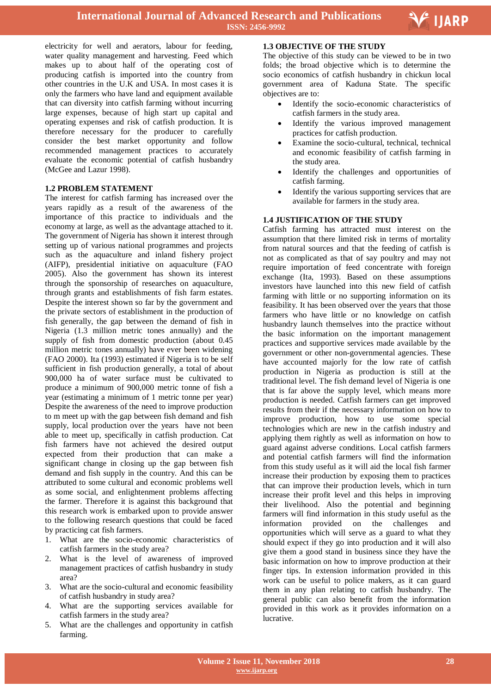

electricity for well and aerators, labour for feeding, water quality management and harvesting. Feed which makes up to about half of the operating cost of producing catfish is imported into the country from other countries in the U.K and USA. In most cases it is only the farmers who have land and equipment available that can diversity into catfish farming without incurring large expenses, because of high start up capital and operating expenses and risk of catfish production. It is therefore necessary for the producer to carefully consider the best market opportunity and follow recommended management practices to accurately evaluate the economic potential of catfish husbandry (McGee and Lazur 1998).

#### **1.2 PROBLEM STATEMENT**

The interest for catfish farming has increased over the years rapidly as a result of the awareness of the importance of this practice to individuals and the economy at large, as well as the advantage attached to it. The government of Nigeria has shown it interest through setting up of various national programmes and projects such as the aquaculture and inland fishery project (AIFP), presidential initiative on aquaculture (FAO 2005). Also the government has shown its interest through the sponsorship of researches on aquaculture, through grants and establishments of fish farm estates. Despite the interest shown so far by the government and the private sectors of establishment in the production of fish generally, the gap between the demand of fish in Nigeria (1.3 million metric tones annually) and the supply of fish from domestic production (about 0.45 million metric tones annually) have ever been widening (FAO 2000). Ita (1993) estimated if Nigeria is to be self sufficient in fish production generally, a total of about 900,000 ha of water surface must be cultivated to produce a minimum of 900,000 metric tonne of fish a year (estimating a minimum of 1 metric tonne per year) Despite the awareness of the need to improve production to m meet up with the gap between fish demand and fish supply, local production over the years have not been able to meet up, specifically in catfish production. Cat fish farmers have not achieved the desired output expected from their production that can make a significant change in closing up the gap between fish demand and fish supply in the country. And this can be attributed to some cultural and economic problems well as some social, and enlightenment problems affecting the farmer. Therefore it is against this background that this research work is embarked upon to provide answer to the following research questions that could be faced by practicing cat fish farmers.

- 1. What are the socio-economic characteristics of catfish farmers in the study area?
- 2. What is the level of awareness of improved management practices of catfish husbandry in study area?
- 3. What are the socio-cultural and economic feasibility of catfish husbandry in study area?
- 4. What are the supporting services available for catfish farmers in the study area?
- 5. What are the challenges and opportunity in catfish farming.

#### **1.3 OBJECTIVE OF THE STUDY**

The objective of this study can be viewed to be in two folds; the broad objective which is to determine the socio economics of catfish husbandry in chickun local government area of Kaduna State. The specific objectives are to:

- Identify the socio-economic characteristics of catfish farmers in the study area.
- Identify the various improved management practices for catfish production.
- Examine the socio-cultural, technical, technical and economic feasibility of catfish farming in the study area.
- Identify the challenges and opportunities of catfish farming.
- Identify the various supporting services that are available for farmers in the study area.

#### **1.4 JUSTIFICATION OF THE STUDY**

Catfish farming has attracted must interest on the assumption that there limited risk in terms of mortality from natural sources and that the feeding of catfish is not as complicated as that of say poultry and may not require importation of feed concentrate with foreign exchange (Ita, 1993). Based on these assumptions investors have launched into this new field of catfish farming with little or no supporting information on its feasibility. It has been observed over the years that those farmers who have little or no knowledge on catfish husbandry launch themselves into the practice without the basic information on the important management practices and supportive services made available by the government or other non-governmental agencies. These have accounted majorly for the low rate of catfish production in Nigeria as production is still at the traditional level. The fish demand level of Nigeria is one that is far above the supply level, which means more production is needed. Catfish farmers can get improved results from their if the necessary information on how to improve production, how to use some special technologies which are new in the catfish industry and applying them rightly as well as information on how to guard against adverse conditions. Local catfish farmers and potential catfish farmers will find the information from this study useful as it will aid the local fish farmer increase their production by exposing them to practices that can improve their production levels, which in turn increase their profit level and this helps in improving their livelihood. Also the potential and beginning farmers will find information in this study useful as the information provided on the challenges and opportunities which will serve as a guard to what they should expect if they go into production and it will also give them a good stand in business since they have the basic information on how to improve production at their finger tips. In extension information provided in this work can be useful to police makers, as it can guard them in any plan relating to catfish husbandry. The general public can also benefit from the information provided in this work as it provides information on a lucrative.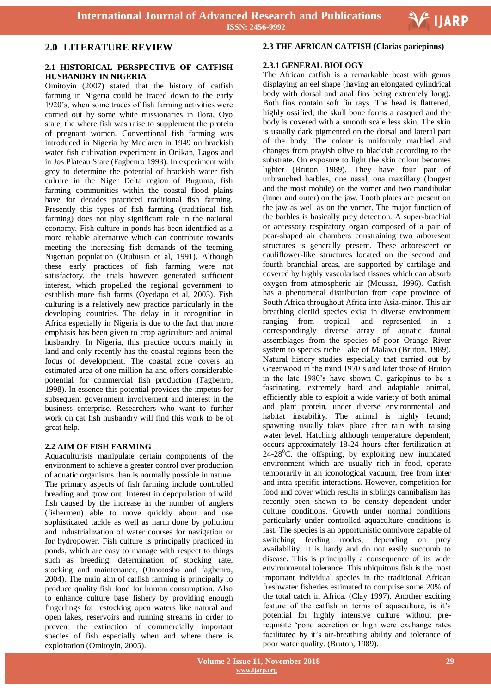

## **2.0 LITERATURE REVIEW**

#### **2.1 HISTORICAL PERSPECTIVE OF CATFISH HUSBANDRY IN NIGERIA**

Omitoyin (2007) stated that the history of catfish farming in Nigeria could be traced down to the early 1920's, when some traces of fish farming activities were carried out by some white missionaries in Ilora, Oyo state, the where fish was raise to supplement the protein of pregnant women. Conventional fish farming was introduced in Nigeria by Maclaren in 1949 on brackish water fish cultivation experiment in Onikan, Lagos and in Jos Plateau State (Fagbenro 1993). In experiment with grey to determine the potential of brackish water fish culrure in the Niger Delta region of Buguma, fish farming communities within the coastal flood plains have for decades practiced traditional fish farming. Presently this types of fish farming (traditional fish farming) does not play significant role in the national economy. Fish culture in ponds has been identified as a more reliable alternative which can contribute towards meeting the increasing fish demands of the teeming Nigerian population (Otubusin et al, 1991). Although these early practices of fish farming were not satisfactory, the trials however generated sufficient interest, which propelled the regional government to establish more fish farms (Oyedapo et al, 2003). Fish culturing is a relatively new practice particularly in the developing countries. The delay in it recognition in Africa especially in Nigeria is due to the fact that more emphasis has been given to crop agriculture and animal husbandry. In Nigeria, this practice occurs mainly in land and only recently has the coastal regions been the focus of development. The coastal zone covers an estimated area of one million ha and offers considerable potential for commercial fish production (Fagbenro, 1998). In essence this potential provides the impetus for subsequent government involvement and interest in the business enterprise. Researchers who want to further work on cat fish husbandry will find this work to be of great help.

#### **2.2 AIM OF FISH FARMING**

Aquaculturists manipulate certain components of the environment to achieve a greater control over production of aquatic organisms than is normally possible in nature. The primary aspects of fish farming include controlled breading and grow out. Interest in depopulation of wild fish caused by the increase in the number of anglers (fishermen) able to move quickly about and use sophisticated tackle as well as harm done by pollution and industrialization of water courses for navigation or for hydropower. Fish culture is principally practiced in ponds, which are easy to manage with respect to things such as breeding, determination of stocking rate, stocking and maintenance, (Omotosho and fagbenro, 2004). The main aim of catfish farming is principally to produce quality fish food for human consumption. Also to enhance culture base fishery by providing enough fingerlings for restocking open waters like natural and open lakes, reservoirs and running streams in order to prevent the extinction of commercially important species of fish especially when and where there is exploitation (Omitoyin, 2005).

## **2.3 THE AFRICAN CATFISH (Clarias pariepinns)**

## **2.3.1 GENERAL BIOLOGY**

The African catfish is a remarkable beast with genus displaying an eel shape (having an elongated cylindrical body with dorsal and anal fins being extremely long). Both fins contain soft fin rays. The head is flattened, highly ossified, the skull bone forms a casqued and the body is covered with a smooth scale less skin. The skin is usually dark pigmented on the dorsal and lateral part of the body. The colour is uniformly marbled and changes from prayish olive to blackish according to the substrate. On exposure to light the skin colour becomes lighter (Bruton 1989). They have four pair of unbranched barbles, one nasal, ona maxillary (longest and the most mobile) on the vomer and two mandibular (inner and outer) on the jaw. Tooth plates are present on the jaw as well as on the vomer. The major function of the barbles is basically prey detection. A super-brachial or accessory respiratory organ composed of a pair of pear-shaped air chambers constraining two arboresent structures is generally present. These arborescent or cauliflower-like structures located on the second and fourth branchial areas, are supported by cartilage and covered by highly vascularised tissues which can absorb oxygen from atmospheric air (Moussa, 1996). Catfish has a phenomenal distribution from cape province of South Africa throughout Africa into Asia-minor. This air breathing cleriid species exist in diverse environment ranging from tropical, and represented in a correspondingly diverse array of aquatic faunal assemblages from the species of poor Orange River system to species riche Lake of Malawi (Bruton, 1989). Natural history studies especially that carried out by Greenwood in the mind 1970's and later those of Bruton in the late 1980's have shown C. gariepinus to be a fascinating, extremely hard and adaptable animal, efficiently able to exploit a wide variety of both animal and plant protein, under diverse environmental and habitat instability. The animal is highly fecund; spawning usually takes place after rain with raising water level. Hatching although temperature dependent, occurs approximately 18-24 hours after fertilization at  $24-28^{\circ}$ C. the offspring, by exploiting new inundated environment which are usually rich in food, operate temporarily in an iconological vacuum, free from inter and intra specific interactions. However, competition for food and cover which results in siblings cannibalism has recently been shown to be density dependent under culture conditions. Growth under normal conditions particularly under controlled aquaculture conditions is fast. The species is an opportunistic omnivore capable of switching feeding modes, depending on prey availability. It is hardy and do not easily succumb to disease. This is principally a consequence of its wide environmental tolerance. This ubiquitous fish is the most important individual species in the traditional African freshwater fisheries estimated to comprise some 20% of the total catch in Africa. (Clay 1997). Another exciting feature of the catfish in terms of aquaculture, is it's potential for highly intensive culture without prerequisite 'pond accretion or high were exchange rates facilitated by it's air-breathing ability and tolerance of poor water quality. (Bruton, 1989).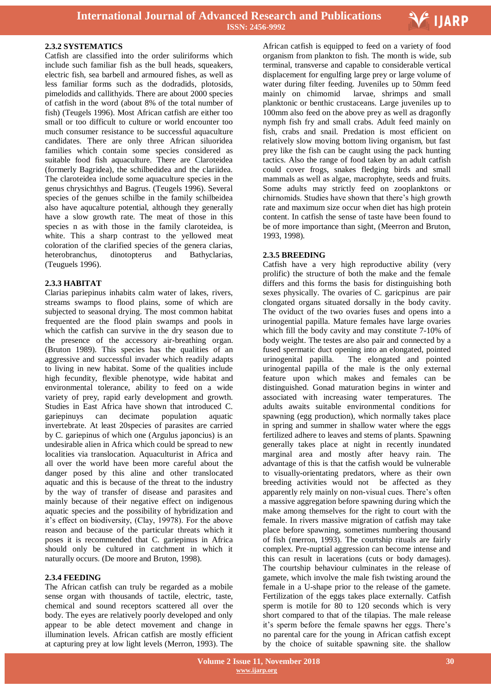

#### **2.3.2 SYSTEMATICS**

Catfish are classified into the order suliriforms which include such familiar fish as the bull heads, squeakers, electric fish, sea barbell and armoured fishes, as well as less familiar forms such as the dodradids, plotosids, pimelodids and callithyids. There are about 2000 species of catfish in the word (about 8% of the total number of fish) (Teugels 1996). Most African catfish are either too small or too difficult to culture or world encounter too much consumer resistance to be successful aquaculture candidates. There are only three African siluoridea families which contain some species considered as suitable food fish aquaculture. There are Claroteidea (formerly Bagridea), the schilbedidea and the clariidea. The claroteidea include some aquaculture species in the genus chrysichthys and Bagrus. (Teugels 1996). Several species of the genues schilbe in the family schilbeidea also have aqucalture potential, although they generally have a slow growth rate. The meat of those in this species n as with those in the family claroteidea, is white. This a sharp contrast to the yellowed meat coloration of the clarified species of the genera clarias, heterobranchus, dinotopterus and Bathyclarias, (Teuguels 1996).

## **2.3.3 HABITAT**

Clarias pariepinus inhabits calm water of lakes, rivers, streams swamps to flood plains, some of which are subjected to seasonal drying. The most common habitat frequented are the flood plain swamps and pools in which the catfish can survive in the dry season due to the presence of the accessory air-breathing organ. (Bruton 1989). This species has the qualities of an aggressive and successful invader which readily adapts to living in new habitat. Some of the qualities include high fecundity, flexible phenotype, wide habitat and environmental tolerance, ability to feed on a wide variety of prey, rapid early development and growth. Studies in East Africa have shown that introduced C. gariepinuys can decimate population aquatic invertebrate. At least 20species of parasites are carried by C. gariepinus of which one (Argulus japoncius) is an undesirable alien in Africa which could be spread to new localities via translocation. Aquaculturist in Africa and all over the world have been more careful about the danger posed by this aline and other translocated aquatic and this is because of the threat to the industry by the way of transfer of disease and parasites and mainly because of their negative effect on indigenous aquatic species and the possibility of hybridization and it's effect on biodiversity, (Clay, 19978). For the above reason and because of the particular threats which it poses it is recommended that C. gariepinus in Africa should only be cultured in catchment in which it naturally occurs. (De moore and Bruton, 1998).

## **2.3.4 FEEDING**

The African catfish can truly be regarded as a mobile sense organ with thousands of tactile, electric, taste, chemical and sound receptors scattered all over the body. The eyes are relatively poorly developed and only appear to be able detect movement and change in illumination levels. African catfish are mostly efficient at capturing prey at low light levels (Merron, 1993). The

 African catfish is equipped to feed on a variety of food organism from plankton to fish. The month is wide, sub terminal, transverse and capable to considerable vertical displacement for engulfing large prey or large volume of water during filter feeding. Juveniles up to 50mm feed mainly on chimomid larvae, shrimps and small planktonic or benthic crustaceans. Large juveniles up to 100mm also feed on the above prey as well as dragonfly nymph fish fry and small crabs. Adult feed mainly on fish, crabs and snail. Predation is most efficient on relatively slow moving bottom living organism, but fast prey like the fish can be caught using the pack hunting tactics. Also the range of food taken by an adult catfish could cover frogs, snakes fledging birds and small mammals as well as algae, macrophyte, seeds and fruits. Some adults may strictly feed on zooplanktons or chirnomids. Studies have shown that there's high growth rate and maximum size occur when diet has high protein content. In catfish the sense of taste have been found to be of more importance than sight, (Meerron and Bruton, 1993, 1998).

## **2.3.5 BREEDING**

Catfish have a very high reproductive ability (very prolific) the structure of both the make and the female differs and this forms the basis for distinguishing both sexes physically. The ovaries of C. garicpinus are pair clongated organs situated dorsally in the body cavity. The oviduct of the two ovaries fuses and opens into a urinogential papilla. Mature females have large ovaries which fill the body cavity and may constitute 7-10% of body weight. The testes are also pair and connected by a fused spermatic duct opening into an elongated, pointed urinogenital papilla. The elongated and pointed urinogental papilla of the male is the only external feature upon which makes and females can be distinguished. Gonad maturation begins in winter and associated with increasing water temperatures. The adults awaits suitable environmental conditions for spawning (egg production), which normally takes place in spring and summer in shallow water where the eggs fertilized adhere to leaves and stems of plants. Spawning generally takes place at night in recently inundated marginal area and mostly after heavy rain. The advantage of this is that the catfish would be vulnerable to visually-orientating predators, where as their own breeding activities would not be affected as they apparently rely mainly on non-visual cues. There's often a massive aggregation before spawning during which the make among themselves for the right to court with the female. In rivers massive migration of catfish may take place before spawning, sometimes numbering thousand of fish (merron, 1993). The courtship rituals are fairly complex. Pre-nuptial aggression can become intense and this can result in lacerations (cuts or body damages). The courtship behaviour culminates in the release of gamete, which involve the male fish twisting around the female in a U-shape prior to the release of the gamete. Fertilization of the eggs takes place externally. Catfish sperm is motile for 80 to 120 seconds which is very short compared to that of the tilapias. The male release it's sperm before the female spawns her eggs. There's no parental care for the young in African catfish except by the choice of suitable spawning site. the shallow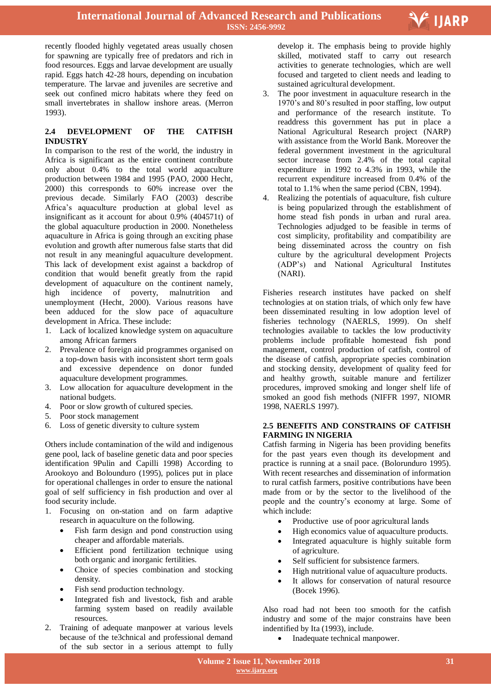

recently flooded highly vegetated areas usually chosen for spawning are typically free of predators and rich in food resources. Eggs and larvae development are usually rapid. Eggs hatch 42-28 hours, depending on incubation temperature. The larvae and juveniles are secretive and seek out confined micro habitats where they feed on small invertebrates in shallow inshore areas. (Merron 1993).

#### **2.4 DEVELOPMENT OF THE CATFISH INDUSTRY**

In comparison to the rest of the world, the industry in Africa is significant as the entire continent contribute only about 0.4% to the total world aquaculture production between 1984 and 1995 (PAO, 2000 Hecht, 2000) this corresponds to 60% increase over the previous decade. Similarly FAO (2003) describe Africa's aquaculture production at global level as insignificant as it account for about 0.9% (404571t) of the global aquaculture production in 2000. Nonetheless aquaculture in Africa is going through an exciting phase evolution and growth after numerous false starts that did not result in any meaningful aquaculture development. This lack of development exist against a backdrop of condition that would benefit greatly from the rapid development of aquaculture on the continent namely, high incidence of poverty, malnutrition and unemployment (Hecht, 2000). Various reasons have been adduced for the slow pace of aquaculture development in Africa. These include:

- 1. Lack of localized knowledge system on aquaculture among African farmers
- 2. Prevalence of foreign aid programmes organised on a top-down basis with inconsistent short term goals and excessive dependence on donor funded aquaculture development programmes.
- 3. Low allocation for aquaculture development in the national budgets.
- 4. Poor or slow growth of cultured species.
- 5. Poor stock management
- 6. Loss of genetic diversity to culture system

Others include contamination of the wild and indigenous gene pool, lack of baseline genetic data and poor species identification 9Pulin and Capilli 1998) According to Arookoyo and Bolounduro (1995), polices put in place for operational challenges in order to ensure the national goal of self sufficiency in fish production and over al food security include.

- 1. Focusing on on-station and on farm adaptive research in aquaculture on the following.
	- Fish farm design and pond construction using cheaper and affordable materials.
	- Efficient pond fertilization technique using both organic and inorganic fertilities.
	- Choice of species combination and stocking density.
	- Fish send production technology.
	- Integrated fish and livestock, fish and arable farming system based on readily available resources.
- 2. Training of adequate manpower at various levels because of the te3chnical and professional demand of the sub sector in a serious attempt to fully

 develop it. The emphasis being to provide highly skilled, motivated staff to carry out research activities to generate technologies, which are well focused and targeted to client needs and leading to sustained agricultural development.

- 3. The poor investment in aquaculture research in the 1970's and 80's resulted in poor staffing, low output and performance of the research institute. To readdress this government has put in place a National Agricultural Research project (NARP) with assistance from the World Bank. Moreover the federal government investment in the agricultural sector increase from 2.4% of the total capital expenditure in 1992 to 4.3% in 1993, while the recurrent expenditure increased from 0.4% of the total to 1.1% when the same period (CBN, 1994).
- 4. Realizing the potentials of aquaculture, fish culture is being popularized through the establishment of home stead fish ponds in urban and rural area. Technologies adjudged to be feasible in terms of cost simplicity, profitability and compatibility are being disseminated across the country on fish culture by the agricultural development Projects (ADP's) and National Agricultural Institutes (NARI).

Fisheries research institutes have packed on shelf technologies at on station trials, of which only few have been disseminated resulting in low adoption level of fisheries technology (NAERLS, 1999). On shelf technologies available to tackles the low productivity problems include profitable homestead fish pond management, control production of catfish, control of the disease of catfish, appropriate species combination and stocking density, development of quality feed for and healthy growth, suitable manure and fertilizer procedures, improved smoking and longer shelf life of smoked an good fish methods (NIFFR 1997, NIOMR 1998, NAERLS 1997).

#### **2.5 BENEFITS AND CONSTRAINS OF CATFISH FARMING IN NIGERIA**

Catfish farming in Nigeria has been providing benefits for the past years even though its development and practice is running at a snail pace. (Bolorunduro 1995). With recent researches and dissemination of information to rural catfish farmers, positive contributions have been made from or by the sector to the livelihood of the people and the country's economy at large. Some of which include:

- Productive use of poor agricultural lands
- High economics value of aquaculture products.
- Integrated aquaculture is highly suitable form of agriculture.
- Self sufficient for subsistence farmers.
- High nutritional value of aquaculture products.
- It allows for conservation of natural resource (Bocek 1996).

Also road had not been too smooth for the catfish industry and some of the major constrains have been indentified by Ita (1993), include.

• Inadequate technical manpower.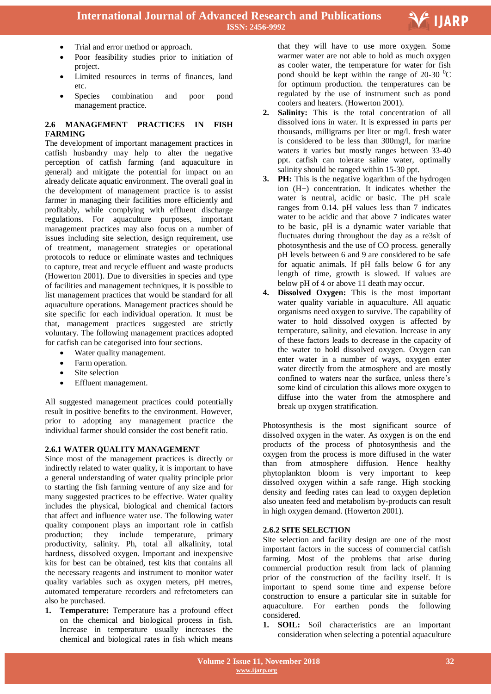

- Trial and error method or approach.
- Poor feasibility studies prior to initiation of project.
- Limited resources in terms of finances, land etc.
- Species combination and poor pond management practice.

## **2.6 MANAGEMENT PRACTICES IN FISH FARMING**

The development of important management practices in catfish husbandry may help to alter the negative perception of catfish farming (and aquaculture in general) and mitigate the potential for impact on an already delicate aquatic environment. The overall goal in the development of management practice is to assist farmer in managing their facilities more efficiently and profitably, while complying with effluent discharge regulations. For aquaculture purposes, important management practices may also focus on a number of issues including site selection, design requirement, use of treatment, management strategies or operational protocols to reduce or eliminate wastes and techniques to capture, treat and recycle effluent and waste products (Howerton 2001). Due to diversities in species and type of facilities and management techniques, it is possible to list management practices that would be standard for all aquaculture operations. Management practices should be site specific for each individual operation. It must be that, management practices suggested are strictly voluntary. The following management practices adopted for catfish can be categorised into four sections.

- Water quality management.
- Farm operation.
- Site selection
- Effluent management.

All suggested management practices could potentially result in positive benefits to the environment. However, prior to adopting any management practice the individual farmer should consider the cost benefit ratio.

## **2.6.1 WATER QUALITY MANAGEMENT**

Since most of the management practices is directly or indirectly related to water quality, it is important to have a general understanding of water quality principle prior to starting the fish farming venture of any size and for many suggested practices to be effective. Water quality includes the physical, biological and chemical factors that affect and influence water use. The following water quality component plays an important role in catfish production; they include temperature, primary productivity, salinity. Ph, total all alkalinity, total hardness, dissolved oxygen. Important and inexpensive kits for best can be obtained, test kits that contains all the necessary reagents and instrument to monitor water quality variables such as oxygen meters, pH metres, automated temperature recorders and refretometers can also be purchased.

**1. Temperature:** Temperature has a profound effect on the chemical and biological process in fish. Increase in temperature usually increases the chemical and biological rates in fish which means

 that they will have to use more oxygen. Some warmer water are not able to hold as much oxygen as cooler water, the temperature for water for fish pond should be kept within the range of 20-30  $\mathrm{^0C}$ for optimum production. the temperatures can be regulated by the use of instrument such as pond coolers and heaters. (Howerton 2001).

- **2. Salinity:** This is the total concentration of all dissolved ions in water. It is expressed in parts per thousands, milligrams per liter or mg/l. fresh water is considered to be less than 300mg/l, for marine waters it varies but mostly ranges between 33-40 ppt. catfish can tolerate saline water, optimally salinity should be ranged within 15-30 ppt.
- **3. PH:** This is the negative logarithm of the hydrogen ion (H+) concentration. It indicates whether the water is neutral, acidic or basic. The pH scale ranges from 0.14. pH values less than 7 indicates water to be acidic and that above 7 indicates water to be basic, pH is a dynamic water variable that fluctuates during throughout the day as a re3slt of photosynthesis and the use of CO process. generally pH levels between 6 and 9 are considered to be safe for aquatic animals. If pH falls below 6 for any length of time, growth is slowed. If values are below pH of 4 or above 11 death may occur.
- **4. Dissolved Oxygen:** This is the most important water quality variable in aquaculture. All aquatic organisms need oxygen to survive. The capability of water to hold dissolved oxygen is affected by temperature, salinity, and elevation. Increase in any of these factors leads to decrease in the capacity of the water to hold dissolved oxygen. Oxygen can enter water in a number of ways, oxygen enter water directly from the atmosphere and are mostly confined to waters near the surface, unless there's some kind of circulation this allows more oxygen to diffuse into the water from the atmosphere and break up oxygen stratification.

Photosynthesis is the most significant source of dissolved oxygen in the water. As oxygen is on the end products of the process of photosynthesis and the oxygen from the process is more diffused in the water than from atmosphere diffusion. Hence healthy phytoplankton bloom is very important to keep dissolved oxygen within a safe range. High stocking density and feeding rates can lead to oxygen depletion also uneaten feed and metabolism by-products can result in high oxygen demand. (Howerton 2001).

#### **2.6.2 SITE SELECTION**

Site selection and facility design are one of the most important factors in the success of commercial catfish farming. Most of the problems that arise during commercial production result from lack of planning prior of the construction of the facility itself. It is important to spend some time and expense before construction to ensure a particular site in suitable for aquaculture. For earthen ponds the following considered.

**1. SOIL:** Soil characteristics are an important consideration when selecting a potential aquaculture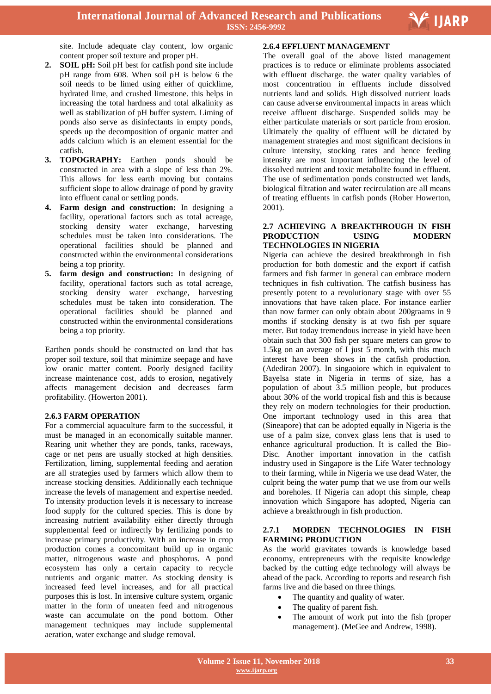

site. Include adequate clay content, low organic content proper soil texture and proper pH.

- **2. SOIL pH:** Soil pH best for catfish pond site include pH range from 608. When soil pH is below 6 the soil needs to be limed using either of quicklime, hydrated lime, and crushed limestone. this helps in increasing the total hardness and total alkalinity as well as stabilization of pH buffer system. Liming of ponds also serve as disinfectants in empty ponds, speeds up the decomposition of organic matter and adds calcium which is an element essential for the catfish.
- **3. TOPOGRAPHY:** Earthen ponds should be constructed in area with a slope of less than 2%. This allows for less earth moving but contains sufficient slope to allow drainage of pond by gravity into effluent canal or settling ponds.
- **4. Farm design and construction:** In designing a facility, operational factors such as total acreage, stocking density water exchange, harvesting schedules must be taken into considerations. The operational facilities should be planned and constructed within the environmental considerations being a top priority.
- **5. farm design and construction:** In designing of facility, operational factors such as total acreage, stocking density water exchange, harvesting schedules must be taken into consideration. The operational facilities should be planned and constructed within the environmental considerations being a top priority.

Earthen ponds should be constructed on land that has proper soil texture, soil that minimize seepage and have low oranic matter content. Poorly designed facility increase maintenance cost, adds to erosion, negatively affects management decision and decreases farm profitability. (Howerton 2001).

#### **2.6.3 FARM OPERATION**

For a commercial aquaculture farm to the successful, it must be managed in an economically suitable manner. Rearing unit whether they are ponds, tanks, raceways, cage or net pens are usually stocked at high densities. Fertilization, liming, supplemental feeding and aeration are all strategies used by farmers which allow them to increase stocking densities. Additionally each technique increase the levels of management and expertise needed. To intensity production levels it is necessary to increase food supply for the cultured species. This is done by increasing nutrient availability either directly through supplemental feed or indirectly by fertilizing ponds to increase primary productivity. With an increase in crop production comes a concomitant build up in organic matter, nitrogenous waste and phosphorus. A pond ecosystem has only a certain capacity to recycle nutrients and organic matter. As stocking density is increased feed level increases, and for all practical purposes this is lost. In intensive culture system, organic matter in the form of uneaten feed and nitrogenous waste can accumulate on the pond bottom. Other management techniques may include supplemental aeration, water exchange and sludge removal.

#### **2.6.4 EFFLUENT MANAGEMENT**

The overall goal of the above listed management practices is to reduce or eliminate problems associated with effluent discharge. the water quality variables of most concentration in effluents include dissolved nutrients land and solids. High dissolved nutrient loads can cause adverse environmental impacts in areas which receive affluent discharge. Suspended solids may be either particulate materials or sort particle from erosion. Ultimately the quality of effluent will be dictated by management strategies and most significant decisions in culture intensity, stocking rates and hence feeding intensity are most important influencing the level of dissolved nutrient and toxic metabolite found in effluent. The use of sedimentation ponds constructed wet lands, biological filtration and water recirculation are all means of treating effluents in catfish ponds (Rober Howerton, 2001).

#### **2.7 ACHIEVING A BREAKTHROUGH IN FISH PRODUCTION USING MODERN TECHNOLOGIES IN NIGERIA**

Nigeria can achieve the desired breakthrough in fish production for both domestic and the export if catfish farmers and fish farmer in general can embrace modern techniques in fish cultivation. The catfish business has presently potent to a revolutionary stage with over 55 innovations that have taken place. For instance earlier than now farmer can only obtain about 200graams in 9 months if stocking density is at two fish per square meter. But today tremendous increase in yield have been obtain such that 300 fish per square meters can grow to 1.5kg on an average of I just 5 month, with this much interest have been shows in the catfish production. (Adediran 2007). In singaoiore which in equivalent to Bayelsa state in Nigeria in terms of size, has a population of about 3.5 million people, but produces about 30% of the world tropical fish and this is because they rely on modern technologies for their production. One important technology used in this area that (Sineapore) that can be adopted equally in Nigeria is the use of a palm size, convex glass lens that is used to enhance agricultural production. It is called the Bio-Disc. Another important innovation in the catfish industry used in Singapore is the Life Water technology to their farming, while in Nigeria we use dead Water, the culprit being the water pump that we use from our wells and boreholes. If Nigeria can adopt this simple, cheap innovation which Singapore has adopted, Nigeria can achieve a breakthrough in fish production.

#### **2.7.1 MORDEN TECHNOLOGIES IN FISH FARMING PRODUCTION**

As the world gravitates towards is knowledge based economy, entrepreneurs with the requisite knowledge backed by the cutting edge technology will always be ahead of the pack. According to reports and research fish farms live and die based on three things.

- The quantity and quality of water.
- The quality of parent fish.
- The amount of work put into the fish (proper management). (MeGee and Andrew, 1998).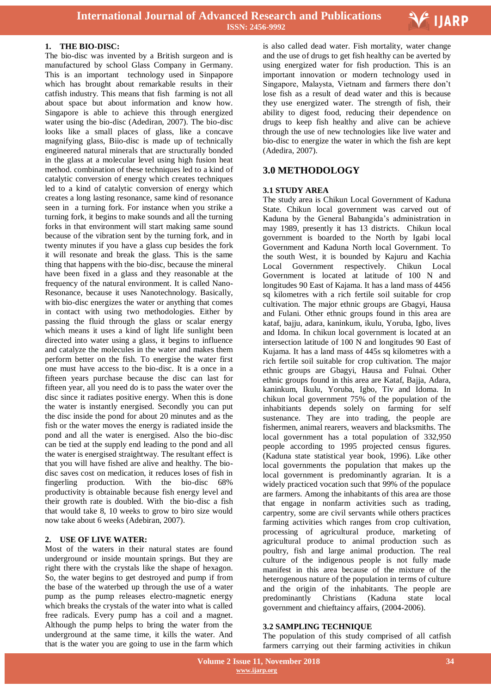

#### **1. THE BIO-DISC:**

The bio-disc was invented by a British surgeon and is manufactured by school Glass Company in Germany. This is an important technology used in Sinpapore which has brought about remarkable results in their catfish industry. This means that fish farming is not all about space but about information and know how. Singapore is able to achieve this through energized water using the bio-disc (Adediran, 2007). The bio-disc looks like a small places of glass, like a concave magnifying glass, Biio-disc is made up of technically engineered natural minerals that are structurally bonded in the glass at a molecular level using high fusion heat method. combination of these techniques led to a kind of catalytic conversion of energy which creates techniques led to a kind of catalytic conversion of energy which creates a long lasting resonance, same kind of resonance seen in a turning fork. For instance when you strike a turning fork, it begins to make sounds and all the turning forks in that environment will start making same sound because of the vibration sent by the turning fork, and in twenty minutes if you have a glass cup besides the fork it will resonate and break the glass. This is the same thing that happens with the bio-disc, because the mineral have been fixed in a glass and they reasonable at the frequency of the natural environment. It is called Nano-Resonance, because it uses Nanotechnology. Basically, with bio-disc energizes the water or anything that comes in contact with using two methodologies. Either by passing the fluid through the glass or scalar energy which means it uses a kind of light life sunlight been directed into water using a glass, it begins to influence and catalyze the molecules in the water and makes them perform better on the fish. To energise the water first one must have access to the bio-disc. It is a once in a fifteen years purchase because the disc can last for fifteen year, all you need do is to pass the water over the disc since it radiates positive energy. When this is done the water is instantly energised. Secondly you can put the disc inside the pond for about 20 minutes and as the fish or the water moves the energy is radiated inside the pond and all the water is energised. Also the bio-disc can be tied at the supply end leading to the pond and all the water is energised straightway. The resultant effect is that you will have fished are alive and healthy. The biodisc saves cost on medication, it reduces loses of fish in fingerling production. With the bio-disc 68% productivity is obtainable because fish energy level and their growth rate is doubled. With the bio-disc a fish that would take 8, 10 weeks to grow to biro size would now take about 6 weeks (Adebiran, 2007).

#### **2. USE OF LIVE WATER:**

Most of the waters in their natural states are found underground or inside mountain springs. But they are right there with the crystals like the shape of hexagon. So, the water begins to get destroyed and pump if from the base of the waterbed up through the use of a water pump as the pump releases electro-magnetic energy which breaks the crystals of the water into what is called free radicals. Every pump has a coil and a magnet. Although the pump helps to bring the water from the underground at the same time, it kills the water. And that is the water you are going to use in the farm which

 is also called dead water. Fish mortality, water change and the use of drugs to get fish healthy can be averted by using energized water for fish production. This is an important innovation or modern technology used in Singapore, Malaysta, Vietnam and farmers there don't lose fish as a result of dead water and this is because they use energized water. The strength of fish, their ability to digest food, reducing their dependence on drugs to keep fish healthy and alive can be achieve through the use of new technologies like live water and bio-disc to energize the water in which the fish are kept (Adedira, 2007).

## **3.0 METHODOLOGY**

#### **3.1 STUDY AREA**

The study area is Chikun Local Government of Kaduna State. Chikun local government was carved out of Kaduna by the General Babangida's administration in may 1989, presently it has 13 districts. Chikun local government is boarded to the North by Igabi local Government and Kaduna North local Government. To the south West, it is bounded by Kajuru and Kachia Local Government respectively. Chikun Local Government is located at latitude of 100 N and longitudes 90 East of Kajama. It has a land mass of 4456 sq kilometres with a rich fertile soil suitable for crop cultivation. The major ethnic groups are Gbagyi, Hausa and Fulani. Other ethnic groups found in this area are kataf, bajju, adara, kaninkum, ikulu, Yoruba, Igbo, lives and Idoma. In chikun local government is located at an intersection latitude of 100 N and longitudes 90 East of Kujama. It has a land mass of 445s sq kilometres with a rich fertile soil suitable for crop cultivation. The major ethnic groups are Gbagyi, Hausa and Fulnai. Other ethnic groups found in this area are Kataf, Bajja, Adara, kaninkum, Ikulu, Yoruba, Igbo, Tiv and Idoma. In chikun local government 75% of the population of the inhabitiants depends solely on farming for self sustenance. They are into trading, the people are fishermen, animal rearers, weavers and blacksmiths. The local government has a total population of 332,950 people according to 1995 projected census figures. (Kaduna state statistical year book, 1996). Like other local governments the population that makes up the local government is predominantly agrarian. It is a widely practiced vocation such that 99% of the populace are farmers. Among the inhabitants of this area are those that engage in nonfarm activities such as trading, carpentry, some are civil servants while others practices farming activities which ranges from crop cultivation, processing of agricultural produce, marketing of agricultural produce to animal production such as poultry, fish and large animal production. The real culture of the indigenous people is not fully made manifest in this area because of the mixture of the heterogenous nature of the population in terms of culture and the origin of the inhabitants. The people are predominantly Christians (Kaduna state local government and chieftaincy affairs, (2004-2006).

#### **3.2 SAMPLING TECHNIQUE**

The population of this study comprised of all catfish farmers carrying out their farming activities in chikun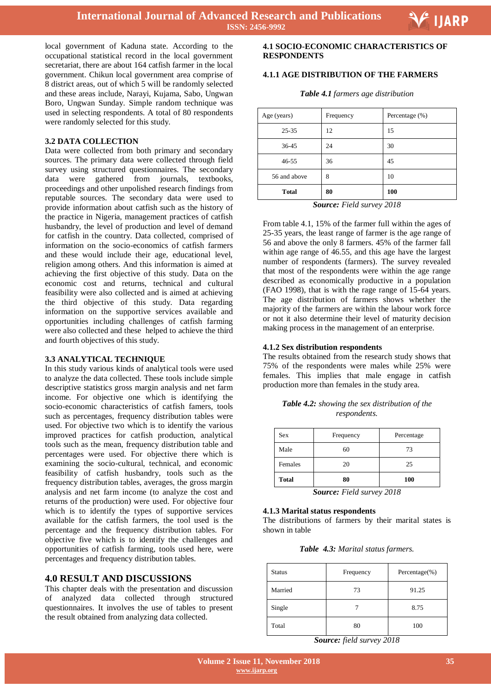

local government of Kaduna state. According to the occupational statistical record in the local government secretariat, there are about 164 catfish farmer in the local government. Chikun local government area comprise of 8 district areas, out of which 5 will be randomly selected and these areas include, Narayi, Kujama, Sabo, Ungwan Boro, Ungwan Sunday. Simple random technique was used in selecting respondents. A total of 80 respondents were randomly selected for this study.

#### **3.2 DATA COLLECTION**

Data were collected from both primary and secondary sources. The primary data were collected through field survey using structured questionnaires. The secondary data were gathered from journals, textbooks, proceedings and other unpolished research findings from reputable sources. The secondary data were used to provide information about catfish such as the history of the practice in Nigeria, management practices of catfish husbandry, the level of production and level of demand for catfish in the country. Data collected, comprised of information on the socio-economics of catfish farmers and these would include their age, educational level, religion among others. And this information is aimed at achieving the first objective of this study. Data on the economic cost and returns, technical and cultural feasibility were also collected and is aimed at achieving the third objective of this study. Data regarding information on the supportive services available and opportunities including challenges of catfish farming were also collected and these helped to achieve the third and fourth objectives of this study.

#### **3.3 ANALYTICAL TECHNIQUE**

In this study various kinds of analytical tools were used to analyze the data collected. These tools include simple descriptive statistics gross margin analysis and net farm income. For objective one which is identifying the socio-economic characteristics of catfish famers, tools such as percentages, frequency distribution tables were used. For objective two which is to identify the various improved practices for catfish production, analytical tools such as the mean, frequency distribution table and percentages were used. For objective there which is examining the socio-cultural, technical, and economic feasibility of catfish husbandry, tools such as the frequency distribution tables, averages, the gross margin analysis and net farm income (to analyze the cost and returns of the production) were used. For objective four which is to identify the types of supportive services available for the catfish farmers, the tool used is the percentage and the frequency distribution tables. For objective five which is to identify the challenges and opportunities of catfish farming, tools used here, were percentages and frequency distribution tables.

#### **4.0 RESULT AND DISCUSSIONS**

This chapter deals with the presentation and discussion of analyzed data collected through structured questionnaires. It involves the use of tables to present the result obtained from analyzing data collected.

## **4.1 SOCIO-ECONOMIC CHARACTERISTICS OF RESPONDENTS**

## **4.1.1 AGE DISTRIBUTION OF THE FARMERS**

|  |  | Table 4.1 farmers age distribution |
|--|--|------------------------------------|
|--|--|------------------------------------|

| Age (years)  | Frequency | Percentage (%) |
|--------------|-----------|----------------|
| $25 - 35$    | 12        | 15             |
| $36 - 45$    | 24        | 30             |
| $46 - 55$    | 36        | 45             |
| 56 and above | 8         | 10             |
| <b>Total</b> | 80        | 100            |

*Source: Field survey 2018*

From table 4.1, 15% of the farmer full within the ages of 25-35 years, the least range of farmer is the age range of 56 and above the only 8 farmers. 45% of the farmer fall within age range of 46.55, and this age have the largest number of respondents (farmers). The survey revealed that most of the respondents were within the age range described as economically productive in a population (FAO 1998), that is with the rage range of 15-64 years. The age distribution of farmers shows whether the majority of the farmers are within the labour work force or not it also determine their level of maturity decision making process in the management of an enterprise.

#### **4.1.2 Sex distribution respondents**

The results obtained from the research study shows that 75% of the respondents were males while 25% were females. This implies that male engage in catfish production more than females in the study area.

|  |              | <b>Table 4.2:</b> showing the sex distribution of the |  |
|--|--------------|-------------------------------------------------------|--|
|  | respondents. |                                                       |  |

| <b>Sex</b>   | Frequency | Percentage |
|--------------|-----------|------------|
| Male         | 60        | 73         |
| Females      | 20        | 25         |
| <b>Total</b> | 80        | <b>100</b> |

*Source: Field survey 2018*

#### **4.1.3 Marital status respondents**

The distributions of farmers by their marital states is shown in table

*Table 4.3: Marital status farmers.*

| <b>Status</b> | Frequency | Percentage $(\%)$ |
|---------------|-----------|-------------------|
| Married       | 73        | 91.25             |
| Single        |           | 8.75              |
| Total         | 80        | 100               |

*Source: field survey 2018*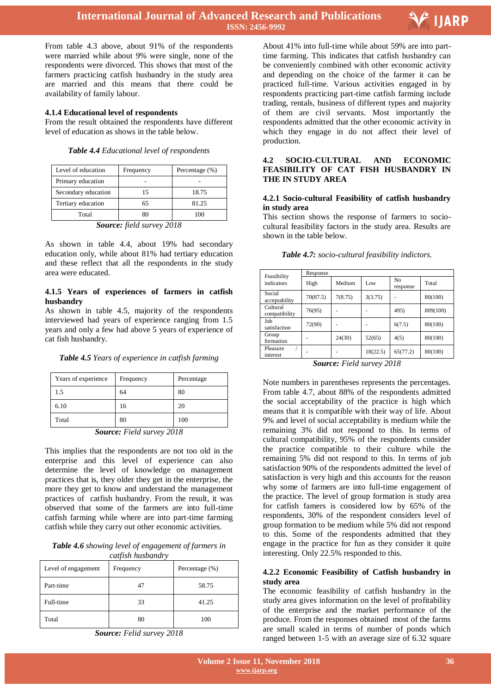

From table 4.3 above, about 91% of the respondents were married while about 9% were single, none of the respondents were divorced. This shows that most of the farmers practicing catfish husbandry in the study area are married and this means that there could be availability of family labour.

#### **4.1.4 Educational level of respondents**

From the result obtained the respondents have different level of education as shows in the table below.

| Level of education    | Frequency | Percentage (%) |
|-----------------------|-----------|----------------|
| Primary education     |           |                |
| Secondary education   | 15        | 18.75          |
| Tertiary education    | 65        | 81.25          |
| Total                 |           | 100            |
| $\tilde{\phantom{a}}$ | $  -$     | ----           |

*Table 4.4 Educational level of respondents*

*Source: field survey 2018*

As shown in table 4.4, about 19% had secondary education only, while about 81% had tertiary education and these reflect that all the respondents in the study area were educated.

#### **4.1.5 Years of experiences of farmers in catfish husbandry**

As shown in table 4.5, majority of the respondents interviewed had years of experience ranging from 1.5 years and only a few had above 5 years of experience of cat fish husbandry.

|  |  |  | Table 4.5 Years of experience in catfish farming |  |  |  |  |
|--|--|--|--------------------------------------------------|--|--|--|--|
|--|--|--|--------------------------------------------------|--|--|--|--|

| Years of experience | Frequency | Percentage |
|---------------------|-----------|------------|
| 1.5                 | 64        | 80         |
| 6.10                | 16        | 20         |
| Total               | 80        | 100        |

*Source: Field survey 2018*

This implies that the respondents are not too old in the enterprise and this level of experience can also determine the level of knowledge on management practices that is, they older they get in the enterprise, the more they get to know and understand the management practices of catfish husbandry. From the result, it was observed that some of the farmers are into full-time catfish farming while where are into part-time farming catfish while they carry out other economic activities.

*Table 4.6 showing level of engagement of farmers in catfish husbandry*

| Level of engagement | Frequency | Percentage (%) |
|---------------------|-----------|----------------|
| Part-time           | 47        | 58.75          |
| Full-time           | 33        | 41.25          |
| Total               | 80        | 100            |

*Source: Felid survey 2018*

 About 41% into full-time while about 59% are into parttime farming. This indicates that catfish husbandry can be conveniently combined with other economic activity and depending on the choice of the farmer it can be practiced full-time. Various activities engaged in by respondents practicing part-time catfish farming include trading, rentals, business of different types and majority of them are civil servants. Most importantly the respondents admitted that the other economic activity in which they engage in do not affect their level of production.

#### **4.2 SOCIO-CULTURAL AND ECONOMIC FEASIBILITY OF CAT FISH HUSBANDRY IN THE IN STUDY AREA**

#### **4.2.1 Socio-cultural Feasibility of catfish husbandry in study area**

This section shows the response of farmers to sociocultural feasibility factors in the study area. Results are shown in the table below.

|                           | Response |         |          |                            |          |  |
|---------------------------|----------|---------|----------|----------------------------|----------|--|
| Feasibility<br>indicators | High     | Medium  | Low      | N <sub>0</sub><br>response | Total    |  |
| Social<br>acceptability   | 70(87.5) | 7(8.75) | 3(3.75)  |                            | 80(100)  |  |
| Cultural<br>compatibility | 76(95)   |         |          | 495)                       | 809(100) |  |
| Job<br>satisfaction       | 72(90)   |         |          | 6(7.5)                     | 80(100)  |  |
| Group<br>formation        |          | 24(30)  | 52(65)   | 4(5)                       | 80(100)  |  |
| Pleasure<br>interest      |          |         | 18(22.5) | 65(77.2)                   | 80(100)  |  |

|  | Table 4.7: socio-cultural feasibility indictors. |  |
|--|--------------------------------------------------|--|
|  |                                                  |  |

Note numbers in parentheses represents the percentages. From table 4.7, about 88% of the respondents admitted the social acceptability of the practice is high which means that it is compatible with their way of life. About 9% and level of social acceptability is medium while the remaining 3% did not respond to this. In terms of cultural compatibility, 95% of the respondents consider the practice compatible to their culture while the remaining 5% did not respond to this. In terms of job satisfaction 90% of the respondents admitted the level of satisfaction is very high and this accounts for the reason why some of farmers are into full-time engagement of the practice. The level of group formation is study area for catfish famers is considered low by 65% of the respondents, 30% of the respondent considers level of group formation to be medium while 5% did not respond to this. Some of the respondents admitted that they engage in the practice for fun as they consider it quite interesting. Only 22.5% responded to this.

#### **4.2.2 Economic Feasibility of Catfish husbandry in study area**

The economic feasibility of catfish husbandry in the study area gives information on the level of profitability of the enterprise and the market performance of the produce. From the responses obtained most of the farms are small scaled in terms of number of ponds which ranged between 1-5 with an average size of 6.32 square

*Source: Field survey 2018*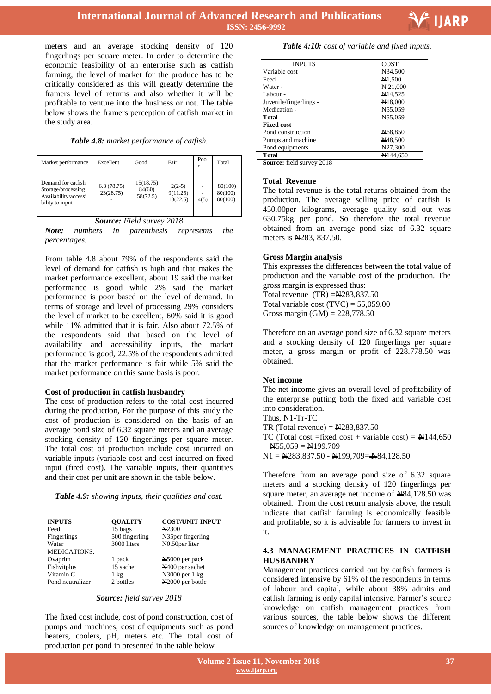

meters and an average stocking density of 120 fingerlings per square meter. In order to determine the economic feasibility of an enterprise such as catfish farming, the level of market for the produce has to be critically considered as this will greatly determine the framers level of returns and also whether it will be profitable to venture into the business or not. The table below shows the framers perception of catfish market in the study area.

#### *Table 4.8: market performance of catfish.*

| Market performance                                                                  | Excellent               | Good                            | Fair                             | Poo        | Total                         |
|-------------------------------------------------------------------------------------|-------------------------|---------------------------------|----------------------------------|------------|-------------------------------|
| Demand for catfish<br>Storage/processing<br>Availability/accessi<br>bility to input | 6.3(78.75)<br>23(28.75) | 15(18.75)<br>84(60)<br>58(72.5) | $2(2-5)$<br>9(11.25)<br>18(22.5) | ä,<br>4(5) | 80(100)<br>80(100)<br>80(100) |

#### *Source: Field survey 2018*

*Note: numbers in parenthesis represents the percentages.* 

From table 4.8 about 79% of the respondents said the level of demand for catfish is high and that makes the market performance excellent, about 19 said the market performance is good while 2% said the market performance is poor based on the level of demand. In terms of storage and level of processing 29% considers the level of market to be excellent, 60% said it is good while 11% admitted that it is fair. Also about 72.5% of the respondents said that based on the level of availability and accessibility inputs, the market performance is good, 22.5% of the respondents admitted that the market performance is fair while 5% said the market performance on this same basis is poor.

#### **Cost of production in catfish husbandry**

The cost of production refers to the total cost incurred during the production, For the purpose of this study the cost of production is considered on the basis of an average pond size of 6.32 square meters and an average stocking density of 120 fingerlings per square meter. The total cost of production include cost incurred on variable inputs (variable cost and cost incurred on fixed input (fired cost). The variable inputs, their quantities and their cost per unit are shown in the table below.

| Table 4.9: showing inputs, their qualities and cost. |  |  |  |  |  |  |
|------------------------------------------------------|--|--|--|--|--|--|
|------------------------------------------------------|--|--|--|--|--|--|

| <b>INPUTS</b><br>Feed<br>Fingerlings<br>Water<br><b>MEDICATIONS:</b> | <b>OUALITY</b><br>15 bags<br>500 fingerling<br>3000 liters | <b>COST/UNIT INPUT</b><br>N <sub>2300</sub><br>N35per fingerling<br>N <sub>0.50</sub> per liter |
|----------------------------------------------------------------------|------------------------------------------------------------|-------------------------------------------------------------------------------------------------|
| Ovaprim                                                              | 1 pack                                                     | N5000 per pack                                                                                  |
| Fishvitplus                                                          | 15 sachet                                                  | N400 per sachet                                                                                 |
| Vitamin <sub>C</sub>                                                 | $1 \text{ kg}$                                             | N3000 per 1 kg                                                                                  |
| Pond neutralizer                                                     | 2 bottles                                                  | N2000 per bottle                                                                                |

*Source: field survey 2018*

The fixed cost include, cost of pond construction, cost of pumps and machines, cost of equipments such as pond heaters, coolers, pH, meters etc. The total cost of production per pond in presented in the table below

## *Table 4:10: cost of variable and fixed inputs.*

| <b>INPUTS</b>          | COST               |
|------------------------|--------------------|
| Variable cost          | N34,500            |
| Feed                   | N <sub>1,500</sub> |
| Water -                | N 21,000           |
| Labour-                | N14.525            |
| Juvenile/fingerlings - | N18,000            |
| Medication -           | N55,059            |
| Total                  | N55.059            |
| <b>Fixed cost</b>      |                    |
| Pond construction      | N68,850            |
| Pumps and machine      | N48.500            |
| Pond equipments        | N27,300            |
| <b>Total</b>           | N144.650           |

**Source:** field survey 2018

#### **Total Revenue**

The total revenue is the total returns obtained from the production. The average selling price of catfish is 450.00per kilograms, average quality sold out was 630.75kg per pond. So therefore the total revenue obtained from an average pond size of 6.32 square meters is N283, 837.50.

#### **Gross Margin analysis**

This expresses the differences between the total value of production and the variable cost of the production. The gross margin is expressed thus:

Total revenue (TR) =N283,837.50 Total variable cost  $(TVC) = 55,059.00$ Gross margin  $(GM) = 228,778.50$ 

Therefore on an average pond size of 6.32 square meters and a stocking density of 120 fingerlings per square meter, a gross margin or profit of 228.778.50 was obtained.

#### **Net income**

The net income gives an overall level of profitability of the enterprise putting both the fixed and variable cost into consideration.

Thus, N1-Tr-TC TR (Total revenue)  $=$   $N283,837.50$ 

TC (Total cost =fixed cost + variable cost) =  $\text{N144,650}$  $+$  N55,059 = N199.709

 $N1 = N283,837.50 - N199,709 = N84,128.50$ 

Therefore from an average pond size of 6.32 square meters and a stocking density of 120 fingerlings per square meter, an average net income of N84,128.50 was obtained. From the cost return analysis above, the result indicate that catfish farming is economically feasible and profitable, so it is advisable for farmers to invest in it.

#### **4.3 MANAGEMENT PRACTICES IN CATFISH HUSBANDRY**

Management practices carried out by catfish farmers is considered intensive by 61% of the respondents in terms of labour and capital, while about 38% admits and catfish farming is only capital intensive. Farmer's source knowledge on catfish management practices from various sources, the table below shows the different sources of knowledge on management practices.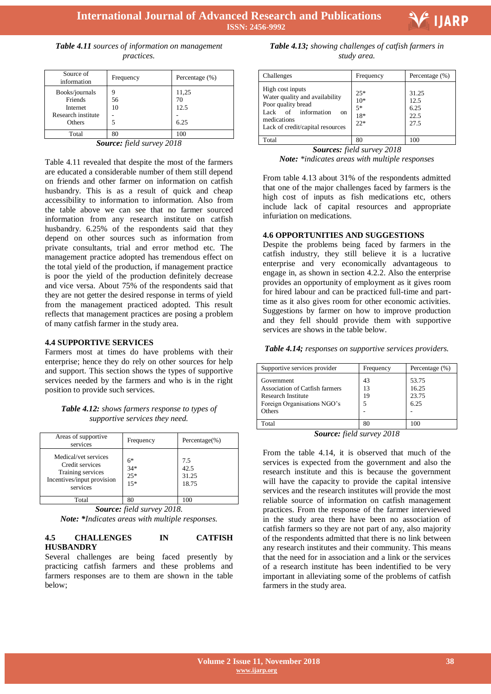

*Table 4.11 sources of information on management practices.*

| Source of<br>information                                              | Frequency | Percentage $(\%)$           |
|-----------------------------------------------------------------------|-----------|-----------------------------|
| Books/journals<br>Friends<br>Internet<br>Research institute<br>Others | 56<br>10  | 11,25<br>70<br>12.5<br>6.25 |
| Total                                                                 | 80        | 100                         |

*Source: field survey 2018*

Table 4.11 revealed that despite the most of the farmers are educated a considerable number of them still depend on friends and other farmer on information on catfish husbandry. This is as a result of quick and cheap accessibility to information to information. Also from the table above we can see that no farmer sourced information from any research institute on catfish husbandry. 6.25% of the respondents said that they depend on other sources such as information from private consultants, trial and error method etc. The management practice adopted has tremendous effect on the total yield of the production, if management practice is poor the yield of the production definitely decrease and vice versa. About 75% of the respondents said that they are not getter the desired response in terms of yield from the management practiced adopted. This result reflects that management practices are posing a problem of many catfish farmer in the study area.

#### **4.4 SUPPORTIVE SERVICES**

Farmers most at times do have problems with their enterprise; hence they do rely on other sources for help and support. This section shows the types of supportive services needed by the farmers and who is in the right position to provide such services.

*Table 4.12: shows farmers response to types of supportive services they need.*

| Areas of supportive<br>services                                                                        | Frequency                       | Percentage $(\%)$             |
|--------------------------------------------------------------------------------------------------------|---------------------------------|-------------------------------|
| Medical/vet services<br>Credit services<br>Training services<br>Incentives/input provision<br>services | $6*$<br>$34*$<br>$25*$<br>$15*$ | 7.5<br>42.5<br>31.25<br>18.75 |
| Total                                                                                                  | 80                              | 100                           |

*Source: field survey 2018.*

*Note: \*Indicates areas with multiple responses.*

#### **4.5 CHALLENGES IN CATFISH HUSBANDRY**

Several challenges are being faced presently by practicing catfish farmers and these problems and farmers responses are to them are shown in the table below;

 *Table 4.13; showing challenges of catfish farmers in study area.*

| Challenges                                                                                                                                                          | Frequency                              | Percentage (%)                        |
|---------------------------------------------------------------------------------------------------------------------------------------------------------------------|----------------------------------------|---------------------------------------|
| High cost inputs<br>Water quality and availability<br>Poor quality bread<br>Lack of information<br><sub>on</sub><br>medications<br>Lack of credit/capital resources | $25*$<br>$10*$<br>$5*$<br>18*<br>$22*$ | 31.25<br>12.5<br>6.25<br>22.5<br>27.5 |
| Total                                                                                                                                                               | 80                                     | 100                                   |

*Sources: field survey 2018*

*Note: \*indicates areas with multiple responses*

From table 4.13 about 31% of the respondents admitted that one of the major challenges faced by farmers is the high cost of inputs as fish medications etc, others include lack of capital resources and appropriate infuriation on medications.

#### **4.6 OPPORTUNITIES AND SUGGESTIONS**

Despite the problems being faced by farmers in the catfish industry, they still believe it is a lucrative enterprise and very economically advantageous to engage in, as shown in section 4.2.2. Also the enterprise provides an opportunity of employment as it gives room for hired labour and can be practiced full-time and parttime as it also gives room for other economic activities. Suggestions by farmer on how to improve production and they fell should provide them with supportive services are shows in the table below.

*Table 4.14; responses on supportive services providers.*

| Supportive services provider                                                                                       | Frequency           | Percentage $(\%)$               |  |
|--------------------------------------------------------------------------------------------------------------------|---------------------|---------------------------------|--|
| Government<br>Association of Catfish farmers<br><b>Research Institute</b><br>Foreign Organisations NGO's<br>Others | 43<br>13<br>19<br>5 | 53.75<br>16.25<br>23.75<br>6.25 |  |
| Total                                                                                                              | 80                  | 100                             |  |
| Course field survey 2018                                                                                           |                     |                                 |  |

*Source: field survey 2018*

From the table 4.14, it is observed that much of the services is expected from the government and also the research institute and this is because the government will have the capacity to provide the capital intensive services and the research institutes will provide the most reliable source of information on catfish management practices. From the response of the farmer interviewed in the study area there have been no association of catfish farmers so they are not part of any, also majority of the respondents admitted that there is no link between any research institutes and their community. This means that the need for in association and a link or the services of a research institute has been indentified to be very important in alleviating some of the problems of catfish farmers in the study area.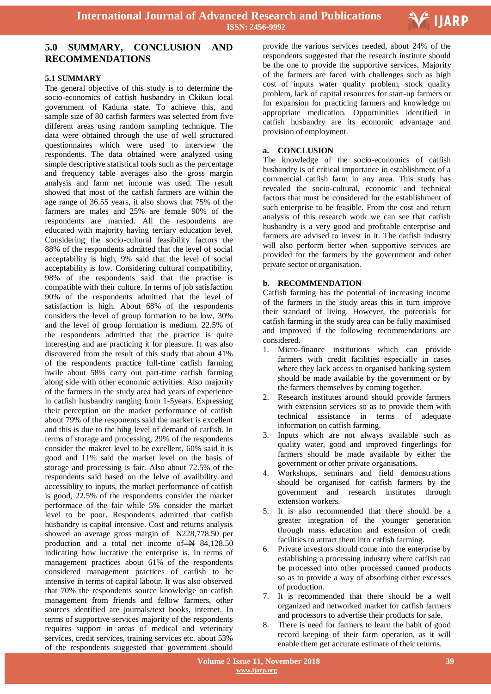

## **5.0 SUMMARY, CONCLUSION AND RECOMMENDATIONS**

## **5.1 SUMMARY**

The general objective of this study is to determine the socio-economics of catfish husbandry in Ckikun local government of Kaduna state. To achieve this, and sample size of 80 catfish farmers was selected from five different areas using random sampling technique. The data were obtained through the use of well structured questionnaires which were used to interview the respondents. The data obtained were analyzed using simple descriptive statistical tools such as the percentage and frequency table averages also the gross margin analysis and farm net income was used. The result showed that most of the catfish farmers are within the age range of 36.55 years, it also shows that 75% of the farmers are males and 25% are female 90% of the respondents are married. All the respondents are educated with majority having tertiary education level. Considering the socio-cultural feasibility factors the 88% of the respondents admitted that the level of social acceptability is high, 9% said that the level of social acceptability is low. Considering cultural compatibility, 98% of the respondents said that the practise is compatible with their culture. In terms of job satisfaction 90% of the respondents admitted that the level of satisfaction is high. About 68% of the respondents considers the level of group formation to be low, 30% and the level of group formation is medium. 22.5% of the respondents admitted that the practice is quite interesting and are practicing it for pleasure. It was also discovered from the result of this study that about 41% of the respondents practice full-time catfish farming hwile about 58% carry out part-time catfish farming along side with other economic activities. Also majority of the farmers in the study area had years of experience in catfish husbandry ranging from 1-5years. Expressing their perception on the market performance of catfish about 79% of the responents said the market is excellent and this is due to the hihg level of demand of catfish. In terms of storage and processing, 29% of the respondents consider the makret level to be excellent, 60% said it is good and 11% said the market level on the basis of storage and processing is fair. Also about 72.5% of the respondents said based on the lelve of availbility and accessiblity to inputs, the market performance of catfish is good, 22.5% of the respondents consider the market performace of the fair while 5% consider the market level to be poor. Respondents admitted that catfish husbandry is capital intensive. Cost and returns analysis showed an average gross margin of N228,778.50 per production and a total net income of  $\rightarrow$  84,128.50 indicating how lucrative the enterprise is. In terms of management practices about 61% of the respondents considered management practices of catfish to be intensive in terms of capital labour. It was also observed that 70% the respondents source knowledge on catfish management from friends and fellow farmers, other sources identified are journals/text books, internet. In terms of supportive services majority of the respondents requires support in areas of medical and veterinary services, credit services, training services etc. about 53% of the respondents suggested that government should

 provide the various services needed, about 24% of the respondents suggested that the research institute should be the one to provide the supportive services. Majority of the farmers are faced with challenges such as high cost of inputs water quality problem, stock quality problem, lack of capital resources for start-up farmers or for expansion for practicing farmers and knowledge on appropriate medication. Opportunities identified in catfish husbandry are its economic advantage and provision of employment.

## **a. CONCLUSION**

The knowledge of the socio-economics of catfish husbandry is of critical importance in establishment of a commercial catfish farm in any area. This study has revealed the socio-cultural, economic and technical factors that must be considered for the establishment of such enterprise to be feasible. From the cost and return analysis of this research work we can see that catfish husbandry is a very good and profitable enterprise and farmers are advised to invest in it. The catfish industry will also perform better when supportive services are provided for the farmers by the government and other private sector or organisation.

#### **b. RECOMMENDATION**

Catfish farming has the potential of increasing income of the farmers in the study areas this in turn improve their standard of living. However, the potentials for catfish farming in the study area can be fully maximised and improved if the following recommendations are considered.

- 1. Micro-finance institutions which can provide farmers with credit facilities especially in cases where they lack access to organised banking system should be made available by the government or by the farmers themselves by coming together.
- 2. Research institutes around should provide farmers with extension services so as to provide them with technical assistance in terms of adequate information on catfish farming.
- 3. Inputs which are not always available such as quality water, good and improved fingerlings for farmers should be made available by either the government or other private organisations.
- 4. Workshops, seminars and field demonstrations should be organised for catfish farmers by the government and research institutes through extension workers.
- 5. It is also recommended that there should be a greater integration of the younger generation through mass education and extension of credit facilities to attract them into catfish farming.
- 6. Private investors should come into the enterprise by establishing a processing industry where catfish can be processed into other processed canned products so as to provide a way of absorbing either excesses of production.
- 7. It is recommended that there should be a well organized and networked market for catfish farmers and processors to advertise their products for sale.
- 8. There is need for farmers to learn the habit of good record keeping of their farm operation, as it will enable them get accurate estimate of their returns.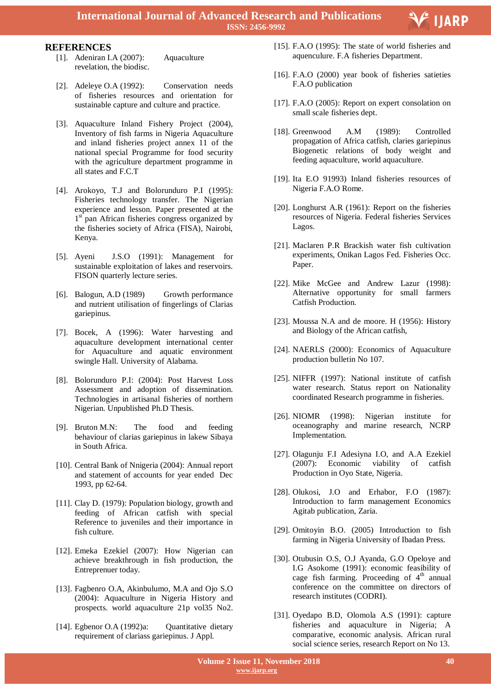

#### **REFERENCES**

- [1]. Adeniran I.A (2007): Aquaculture revelation, the biodisc.
- [2]. Adeleye O.A (1992): Conservation needs of fisheries resources and orientation for sustainable capture and culture and practice.
- [3]. Aquaculture Inland Fishery Project (2004), Inventory of fish farms in Nigeria Aquaculture and inland fisheries project annex 11 of the national special Programme for food security with the agriculture department programme in all states and F.C.T
- [4]. Arokoyo, T.J and Bolorunduro P.I (1995): Fisheries technology transfer. The Nigerian experience and lesson. Paper presented at the 1<sup>st</sup> pan African fisheries congress organized by the fisheries society of Africa (FISA), Nairobi, Kenya.
- [5]. Ayeni J.S.O (1991): Management for sustainable exploitation of lakes and reservoirs. FISON quarterly lecture series.
- [6]. Balogun, A.D (1989) Growth performance and nutrient utilisation of fingerlings of Clarias gariepinus.
- [7]. Bocek, A (1996): Water harvesting and aquaculture development international center for Aquaculture and aquatic environment swingle Hall. University of Alabama.
- [8]. Bolorunduro P.I: (2004): Post Harvest Loss Assessment and adoption of dissemination. Technologies in artisanal fisheries of northern Nigerian. Unpublished Ph.D Thesis.
- [9]. Bruton M.N: The food and feeding behaviour of clarias gariepinus in lakew Sibaya in South Africa.
- [10]. Central Bank of Nnigeria (2004): Annual report and statement of accounts for year ended Dec 1993, pp 62-64.
- [11]. Clay D. (1979): Population biology, growth and feeding of African catfish with special Reference to juveniles and their importance in fish culture.
- [12]. Emeka Ezekiel (2007): How Nigerian can achieve breakthrough in fish production, the Entreprenuer today.
- [13]. Fagbenro O.A, Akinbulumo, M.A and Ojo S.O (2004): Aquaculture in Nigeria History and prospects. world aquaculture 21p vol35 No2.
- [14]. Egbenor O.A (1992)a: Quantitative dietary requirement of clariass gariepinus. J Appl.
- [15]. F.A.O (1995): The state of world fisheries and aquenculure. F.A fisheries Department.
- [16]. F.A.O (2000) year book of fisheries satieties F.A.O publication
- [17]. F.A.O (2005): Report on expert consolation on small scale fisheries dept.
- [18]. Greenwood A.M (1989): Controlled propagation of Africa catfish, claries gariepinus Biogenetic relations of body weight and feeding aquaculture, world aquaculture.
- [19]. Ita E.O 91993) Inland fisheries resources of Nigeria F.A.O Rome.
- [20]. Longhurst A.R (1961): Report on the fisheries resources of Nigeria. Federal fisheries Services Lagos.
- [21]. Maclaren P.R Brackish water fish cultivation experiments, Onikan Lagos Fed. Fisheries Occ. Paper.
- [22]. Mike McGee and Andrew Lazur (1998): Alternative opportunity for small farmers Catfish Production.
- [23]. Moussa N.A and de moore. H (1956): History and Biology of the African catfish,
- [24]. NAERLS (2000): Economics of Aquaculture production bulletin No 107.
- [25]. NIFFR (1997): National institute of catfish water research. Status report on Nationality coordinated Research programme in fisheries.
- [26]. NIOMR (1998): Nigerian institute for oceanography and marine research, NCRP Implementation.
- [27]. Olagunju F.I Adesiyna I.O, and A.A Ezekiel (2007): Economic viability of catfish Production in Oyo State, Nigeria.
- [28]. Olukosi, J.O and Erhabor, F.O (1987): Introduction to farm management Economics Agitab publication, Zaria.
- [29]. Omitoyin B.O. (2005) Introduction to fish farming in Nigeria University of Ibadan Press.
- [30]. Otubusin O.S, O.J Ayanda, G.O Opeloye and I.G Asokome (1991): economic feasibility of cage fish farming. Proceeding of  $4<sup>th</sup>$  annual conference on the committee on directors of research institutes (CODRI).
- [31]. Oyedapo B.D, Olomola A.S (1991): capture fisheries and aquaculture in Nigeria; A comparative, economic analysis. African rural social science series, research Report on No 13.